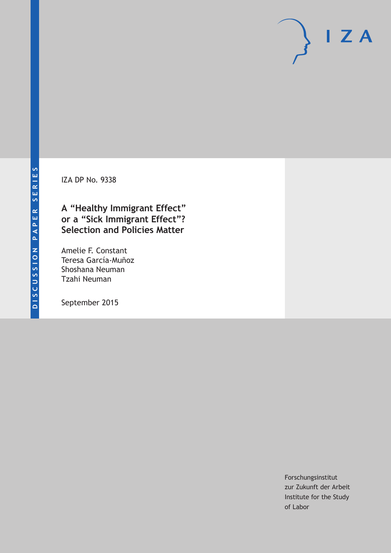IZA DP No. 9338

# **A "Healthy Immigrant Effect" or a "Sick Immigrant Effect"? Selection and Policies Matter**

Amelie F. Constant Teresa García-Muñoz Shoshana Neuman Tzahi Neuman

September 2015

Forschungsinstitut zur Zukunft der Arbeit Institute for the Study of Labor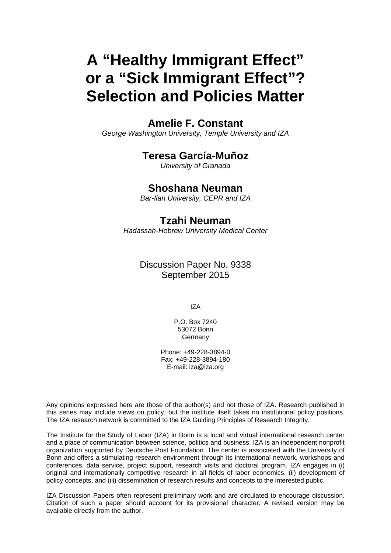# **A "Healthy Immigrant Effect" or a "Sick Immigrant Effect"? Selection and Policies Matter**

### **Amelie F. Constant**

*George Washington University, Temple University and IZA* 

### **Teresa García-Muñoz**

*University of Granada* 

### **Shoshana Neuman**

*Bar-Ilan University, CEPR and IZA*

### **Tzahi Neuman**

*Hadassah-Hebrew University Medical Center*

### Discussion Paper No. 9338 September 2015

IZA

P.O. Box 7240 53072 Bonn Germany

Phone: +49-228-3894-0 Fax: +49-228-3894-180 E-mail: iza@iza.org

Any opinions expressed here are those of the author(s) and not those of IZA. Research published in this series may include views on policy, but the institute itself takes no institutional policy positions. The IZA research network is committed to the IZA Guiding Principles of Research Integrity.

The Institute for the Study of Labor (IZA) in Bonn is a local and virtual international research center and a place of communication between science, politics and business. IZA is an independent nonprofit organization supported by Deutsche Post Foundation. The center is associated with the University of Bonn and offers a stimulating research environment through its international network, workshops and conferences, data service, project support, research visits and doctoral program. IZA engages in (i) original and internationally competitive research in all fields of labor economics, (ii) development of policy concepts, and (iii) dissemination of research results and concepts to the interested public.

IZA Discussion Papers often represent preliminary work and are circulated to encourage discussion. Citation of such a paper should account for its provisional character. A revised version may be available directly from the author.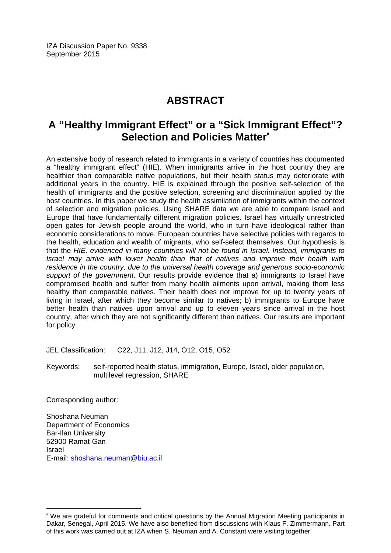IZA Discussion Paper No. 9338 September 2015

# **ABSTRACT**

# **A "Healthy Immigrant Effect" or a "Sick Immigrant Effect"? Selection and Policies Matter\***

An extensive body of research related to immigrants in a variety of countries has documented a "healthy immigrant effect" (HIE). When immigrants arrive in the host country they are healthier than comparable native populations, but their health status may deteriorate with additional years in the country. HIE is explained through the positive self-selection of the health of immigrants and the positive selection, screening and discrimination applied by the host countries. In this paper we study the health assimilation of immigrants within the context of selection and migration policies. Using SHARE data we are able to compare Israel and Europe that have fundamentally different migration policies. Israel has virtually unrestricted open gates for Jewish people around the world, who in turn have ideological rather than economic considerations to move. European countries have selective policies with regards to the health, education and wealth of migrants, who self-select themselves. Our hypothesis is that the *HIE, evidenced in many countries will not be found in Israel. Instead, immigrants to Israel may arrive with lower health than that of natives and improve their health with residence in the country, due to the universal health coverage and generous socio-economic support of the government*. Our results provide evidence that a) immigrants to Israel have compromised health and suffer from many health ailments upon arrival, making them less healthy than comparable natives. Their health does not improve for up to twenty years of living in Israel, after which they become similar to natives; b) immigrants to Europe have better health than natives upon arrival and up to eleven years since arrival in the host country, after which they are not significantly different than natives. Our results are important for policy.

JEL Classification: C22, J11, J12, J14, O12, O15, O52

Keywords: self-reported health status, immigration, Europe, Israel, older population, multilevel regression, SHARE

Corresponding author:

 $\overline{\phantom{a}}$ 

Shoshana Neuman Department of Economics Bar-Ilan University 52900 Ramat-Gan Israel E-mail: shoshana.neuman@biu.ac.il

<sup>\*</sup> We are grateful for comments and critical questions by the Annual Migration Meeting participants in Dakar, Senegal, April 2015. We have also benefited from discussions with Klaus F. Zimmermann. Part of this work was carried out at IZA when S. Neuman and A. Constant were visiting together.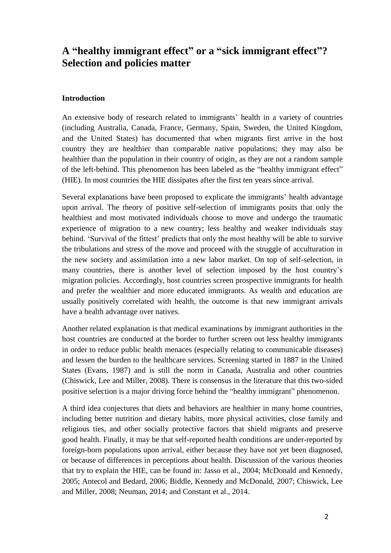# **A "healthy immigrant effect" or a "sick immigrant effect"? Selection and policies matter**

#### **Introduction**

An extensive body of research related to immigrants' health in a variety of countries (including Australia, Canada, France, Germany, Spain, Sweden, the United Kingdom, and the United States) has documented that when migrants first arrive in the host country they are healthier than comparable native populations; they may also be healthier than the population in their country of origin, as they are not a random sample of the left-behind. This phenomenon has been labeled as the "healthy immigrant effect" (HIE). In most countries the HIE dissipates after the first ten years since arrival.

Several explanations have been proposed to explicate the immigrants' health advantage upon arrival. The theory of positive self-selection of immigrants posits that only the healthiest and most motivated individuals choose to move and undergo the traumatic experience of migration to a new country; less healthy and weaker individuals stay behind. 'Survival of the fittest' predicts that only the most healthy will be able to survive the tribulations and stress of the move and proceed with the struggle of acculturation in the new society and assimilation into a new labor market. On top of self-selection, in many countries, there is another level of selection imposed by the host country's migration policies. Accordingly, host countries screen prospective immigrants for health and prefer the wealthier and more educated immigrants. As wealth and education are usually positively correlated with health, the outcome is that new immigrant arrivals have a health advantage over natives.

Another related explanation is that medical examinations by immigrant authorities in the host countries are conducted at the border to further screen out less healthy immigrants in order to reduce public health menaces (especially relating to communicable diseases) and lessen the burden to the healthcare services. Screening started in 1887 in the United States (Evans, 1987) and is still the norm in Canada, Australia and other countries (Chiswick, Lee and Miller, 2008). There is consensus in the literature that this two-sided positive selection is a major driving force behind the "healthy immigrant" phenomenon.

A third idea conjectures that diets and behaviors are healthier in many home countries, including better nutrition and dietary habits, more physical activities, close family and religious ties, and other socially protective factors that shield migrants and preserve good health. Finally, it may be that self-reported health conditions are under-reported by foreign-born populations upon arrival, either because they have not yet been diagnosed, or because of differences in perceptions about health. Discussion of the various theories that try to explain the HIE, can be found in: Jasso et al., 2004; McDonald and Kennedy, 2005; Antecol and Bedard, 2006; Biddle, Kennedy and McDonald, 2007; Chiswick, Lee and Miller, 2008; Neuman, 2014; and Constant et al., 2014.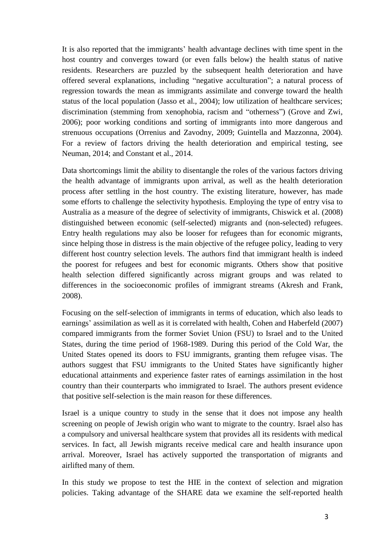It is also reported that the immigrants' health advantage declines with time spent in the host country and converges toward (or even falls below) the health status of native residents. Researchers are puzzled by the subsequent health deterioration and have offered several explanations, including "negative acculturation"; a natural process of regression towards the mean as immigrants assimilate and converge toward the health status of the local population (Jasso et al., 2004); low utilization of healthcare services; discrimination (stemming from xenophobia, racism and "otherness") (Grove and Zwi, 2006); poor working conditions and sorting of immigrants into more dangerous and strenuous occupations (Orrenius and Zavodny, 2009; Guintella and Mazzonna, 2004). For a review of factors driving the health deterioration and empirical testing, see Neuman, 2014; and Constant et al., 2014.

Data shortcomings limit the ability to disentangle the roles of the various factors driving the health advantage of immigrants upon arrival, as well as the health deterioration process after settling in the host country. The existing literature, however, has made some efforts to challenge the selectivity hypothesis. Employing the type of entry visa to Australia as a measure of the degree of selectivity of immigrants, Chiswick et al. (2008) distinguished between economic (self-selected) migrants and (non-selected) refugees. Entry health regulations may also be looser for refugees than for economic migrants, since helping those in distress is the main objective of the refugee policy, leading to very different host country selection levels. The authors find that immigrant health is indeed the poorest for refugees and best for economic migrants. Others show that positive health selection differed significantly across migrant groups and was related to differences in the socioeconomic profiles of immigrant streams (Akresh and Frank, 2008).

Focusing on the self-selection of immigrants in terms of education, which also leads to earnings' assimilation as well as it is correlated with health, Cohen and Haberfeld (2007) compared immigrants from the former Soviet Union (FSU) to Israel and to the United States, during the time period of 1968-1989. During this period of the Cold War, the United States opened its doors to FSU immigrants, granting them refugee visas. The authors suggest that FSU immigrants to the United States have significantly higher educational attainments and experience faster rates of earnings assimilation in the host country than their counterparts who immigrated to Israel. The authors present evidence that positive self-selection is the main reason for these differences.

Israel is a unique country to study in the sense that it does not impose any health screening on people of Jewish origin who want to migrate to the country. Israel also has a compulsory and universal healthcare system that provides all its residents with medical services. In fact, all Jewish migrants receive medical care and health insurance upon arrival. Moreover, Israel has actively supported the transportation of migrants and airlifted many of them.

In this study we propose to test the HIE in the context of selection and migration policies. Taking advantage of the SHARE data we examine the self-reported health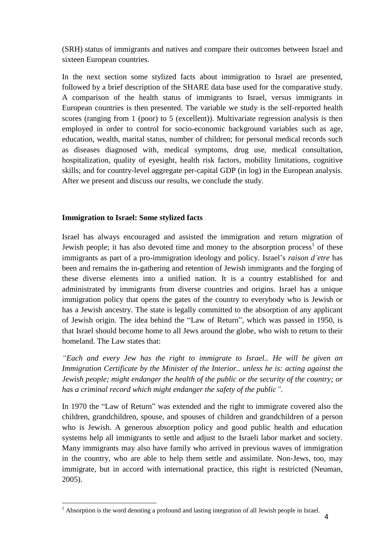(SRH) status of immigrants and natives and compare their outcomes between Israel and sixteen European countries.

In the next section some stylized facts about immigration to Israel are presented, followed by a brief description of the SHARE data base used for the comparative study. A comparison of the health status of immigrants to Israel, versus immigrants in European countries is then presented. The variable we study is the self-reported health scores (ranging from 1 (poor) to 5 (excellent)). Multivariate regression analysis is then employed in order to control for socio-economic background variables such as age, education, wealth, marital status, number of children; for personal medical records such as diseases diagnosed with, medical symptoms, drug use, medical consultation, hospitalization, quality of eyesight, health risk factors, mobility limitations, cognitive skills; and for country-level aggregate per-capital GDP (in log) in the European analysis. After we present and discuss our results, we conclude the study.

#### **Immigration to Israel: Some stylized facts**

Israel has always encouraged and assisted the immigration and return migration of Jewish people; it has also devoted time and money to the absorption process<sup>1</sup> of these immigrants as part of a pro-immigration ideology and policy. Israel's *raison d'etre* has been and remains the in-gathering and retention of Jewish immigrants and the forging of these diverse elements into a unified nation. It is a country established for and administrated by immigrants from diverse countries and origins. Israel has a unique immigration policy that opens the gates of the country to everybody who is Jewish or has a Jewish ancestry. The state is legally committed to the absorption of any applicant of Jewish origin. The idea behind the "Law of Return", which was passed in 1950, is that Israel should become home to all Jews around the globe, who wish to return to their homeland. The Law states that:

*"Each and every Jew has the right to immigrate to Israel.. He will be given an Immigration Certificate by the Minister of the Interior.. unless he is: acting against the Jewish people; might endanger the health of the public or the security of the country; or has a criminal record which might endanger the safety of the public"*.

In 1970 the "Law of Return" was extended and the right to immigrate covered also the children, grandchildren, spouse, and spouses of children and grandchildren of a person who is Jewish. A generous absorption policy and good public health and education systems help all immigrants to settle and adjust to the Israeli labor market and society. Many immigrants may also have family who arrived in previous waves of immigration in the country, who are able to help them settle and assimilate. Non-Jews, too, may immigrate, but in accord with international practice, this right is restricted (Neuman, 2005).

 $\overline{a}$ <sup>1</sup> Absorption is the word denoting a profound and lasting integration of all Jewish people in Israel.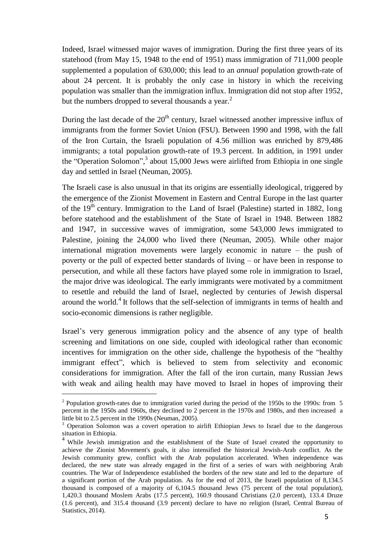Indeed, Israel witnessed major waves of immigration. During the first three years of its statehood (from May 15, 1948 to the end of 1951) mass immigration of 711,000 people supplemented a population of 630,000; this lead to an *annual* population growth-rate of about 24 percent. It is probably the only case in history in which the receiving population was smaller than the immigration influx. Immigration did not stop after 1952, but the numbers dropped to several thousands a year.<sup>2</sup>

During the last decade of the  $20<sup>th</sup>$  century. Israel witnessed another impressive influx of immigrants from the former Soviet Union (FSU). Between 1990 and 1998, with the fall of the Iron Curtain, the Israeli population of 4.56 million was enriched by 879,486 immigrants; a total population growth-rate of 19.3 percent. In addition, in 1991 under the "Operation Solomon",<sup>3</sup> about 15,000 Jews were airlifted from Ethiopia in one single day and settled in Israel (Neuman, 2005).

The Israeli case is also unusual in that its origins are essentially ideological, triggered by the emergence of the Zionist Movement in Eastern and Central Europe in the last quarter of the  $19<sup>th</sup>$  century. Immigration to the Land of Israel (Palestine) started in 1882, long before statehood and the establishment of the State of Israel in 1948. Between 1882 and 1947, in successive waves of immigration, some 543,000 Jews immigrated to Palestine, joining the 24,000 who lived there (Neuman, 2005). While other major international migration movements were largely economic in nature – the push of poverty or the pull of expected better standards of living – or have been in response to persecution, and while all these factors have played some role in immigration to Israel, the major drive was ideological. The early immigrants were motivated by a commitment to resettle and rebuild the land of Israel, neglected by centuries of Jewish dispersal around the world.<sup>4</sup> It follows that the self-selection of immigrants in terms of health and socio-economic dimensions is rather negligible.

Israel's very generous immigration policy and the absence of any type of health screening and limitations on one side, coupled with ideological rather than economic incentives for immigration on the other side, challenge the hypothesis of the "healthy immigrant effect", which is believed to stem from selectivity and economic considerations for immigration. After the fall of the iron curtain, many Russian Jews with weak and ailing health may have moved to Israel in hopes of improving their

 $\overline{a}$ 

<sup>&</sup>lt;sup>2</sup> Population growth-rates due to immigration varied during the period of the 1950s to the 1990s: from 5 percent in the 1950s and 1960s, they declined to 2 percent in the 1970s and 1980s, and then increased a little bit to 2.5 percent in the 1990s (Neuman, 2005).

<sup>&</sup>lt;sup>3</sup> Operation Solomon was a covert operation to airlift Ethiopian Jews to Israel due to the dangerous situation in Ethiopia.

<sup>&</sup>lt;sup>4</sup> While Jewish immigration and the establishment of the State of Israel created the opportunity to achieve the Zionist Movement's goals, it also intensified the historical Jewish-Arab conflict. As the Jewish community grew, conflict with the Arab population accelerated. When independence was declared, the new state was already engaged in the first of a series of wars with neighboring Arab countries. The War of Independence established the borders of the new state and led to the departure of a significant portion of the Arab population. As for the end of 2013, the Israeli population of 8,134.5 thousand is composed of a majority of 6,104.5 thousand Jews (75 percent of the total population), 1,420.3 thousand Moslem Arabs (17.5 percent), 160.9 thousand Christians (2.0 percent), 133.4 Druze (1.6 percent), and 315.4 thousand (3.9 percent) declare to have no religion (Israel, Central Bureau of Statistics, 2014).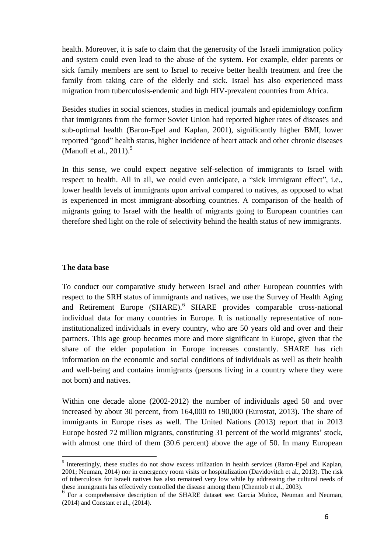health. Moreover, it is safe to claim that the generosity of the Israeli immigration policy and system could even lead to the abuse of the system. For example, elder parents or sick family members are sent to Israel to receive better health treatment and free the family from taking care of the elderly and sick. Israel has also experienced mass migration from tuberculosis-endemic and high HIV-prevalent countries from Africa.

Besides studies in social sciences, studies in medical journals and epidemiology confirm that immigrants from the former Soviet Union had reported higher rates of diseases and sub-optimal health (Baron-Epel and Kaplan, 2001), significantly higher BMI, lower reported "good" health status, higher incidence of heart attack and other chronic diseases (Manoff et al., 2011).<sup>5</sup>

In this sense, we could expect negative self-selection of immigrants to Israel with respect to health. All in all, we could even anticipate, a "sick immigrant effect", i.e., lower health levels of immigrants upon arrival compared to natives, as opposed to what is experienced in most immigrant-absorbing countries. A comparison of the health of migrants going to Israel with the health of migrants going to European countries can therefore shed light on the role of selectivity behind the health status of new immigrants.

#### **The data base**

 $\overline{a}$ 

To conduct our comparative study between Israel and other European countries with respect to the SRH status of immigrants and natives, we use the Survey of Health Aging and Retirement Europe (SHARE).<sup>6</sup> SHARE provides comparable cross-national individual data for many countries in Europe. It is nationally representative of noninstitutionalized individuals in every country, who are 50 years old and over and their partners. This age group becomes more and more significant in Europe, given that the share of the elder population in Europe increases constantly. SHARE has rich information on the economic and social conditions of individuals as well as their health and well-being and contains immigrants (persons living in a country where they were not born) and natives.

Within one decade alone (2002-2012) the number of individuals aged 50 and over increased by about 30 percent, from 164,000 to 190,000 (Eurostat, 2013). The share of immigrants in Europe rises as well. The United Nations (2013) report that in 2013 Europe hosted 72 million migrants*,* constituting 31 percent of the world migrants' stock, with almost one third of them (30.6 percent) above the age of 50. In many European

<sup>&</sup>lt;sup>5</sup> Interestingly, these studies do not show excess utilization in health services (Baron-Epel and Kaplan, 2001; Neuman, 2014) nor in emergency room visits or hospitalization (Davidovitch et al., 2013). The risk of tuberculosis for Israeli natives has also remained very low while by addressing the cultural needs of these immigrants has effectively controlled the disease among them (Chemtob et al., 2003).

<sup>&</sup>lt;sup>6</sup> For a comprehensive description of the SHARE dataset see: Garcia Muñoz, Neuman and Neuman, (2014) and Constant et al., (2014).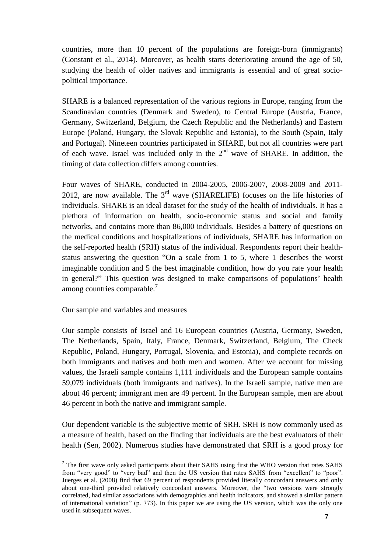countries, more than 10 percent of the populations are foreign-born (immigrants) (Constant et al., 2014). Moreover, as health starts deteriorating around the age of 50, studying the health of older natives and immigrants is essential and of great sociopolitical importance.

SHARE is a balanced representation of the various regions in Europe, ranging from the Scandinavian countries (Denmark and Sweden), to Central Europe (Austria, France, Germany, Switzerland, Belgium, the Czech Republic and the Netherlands) and Eastern Europe (Poland, Hungary, the Slovak Republic and Estonia), to the South (Spain, Italy and Portugal). Nineteen countries participated in SHARE, but not all countries were part of each wave. Israel was included only in the  $2<sup>nd</sup>$  wave of SHARE. In addition, the timing of data collection differs among countries.

Four waves of SHARE, conducted in 2004-2005, 2006-2007, 2008-2009 and 2011- 2012, are now available. The  $3<sup>rd</sup>$  wave (SHARELIFE) focuses on the life histories of individuals. SHARE is an ideal dataset for the study of the health of individuals. It has a plethora of information on health, socio-economic status and social and family networks, and contains more than 86,000 individuals. Besides a battery of questions on the medical conditions and hospitalizations of individuals, SHARE has information on the self-reported health (SRH) status of the individual. Respondents report their healthstatus answering the question "On a scale from 1 to 5, where 1 describes the worst imaginable condition and 5 the best imaginable condition, how do you rate your health in general?" This question was designed to make comparisons of populations' health among countries comparable.<sup>7</sup>

Our sample and variables and measures

 $\overline{a}$ 

Our sample consists of Israel and 16 European countries (Austria, Germany, Sweden, The Netherlands, Spain, Italy, France, Denmark, Switzerland, Belgium, The Check Republic, Poland, Hungary, Portugal, Slovenia, and Estonia), and complete records on both immigrants and natives and both men and women. After we account for missing values, the Israeli sample contains 1,111 individuals and the European sample contains 59,079 individuals (both immigrants and natives). In the Israeli sample, native men are about 46 percent; immigrant men are 49 percent. In the European sample, men are about 46 percent in both the native and immigrant sample.

Our dependent variable is the subjective metric of SRH. SRH is now commonly used as a measure of health, based on the finding that individuals are the best evaluators of their health (Sen, 2002). Numerous studies have demonstrated that SRH is a good proxy for

<sup>&</sup>lt;sup>7</sup> The first wave only asked participants about their SAHS using first the WHO version that rates SAHS from "very good" to "very bad" and then the US version that rates SAHS from "excellent" to "poor". Juerges et al. (2008) find that 69 percent of respondents provided literally concordant answers and only about one-third provided relatively concordant answers. Moreover, the "two versions were strongly correlated, had similar associations with demographics and health indicators, and showed a similar pattern of international variation" (p. 773). In this paper we are using the US version, which was the only one used in subsequent waves.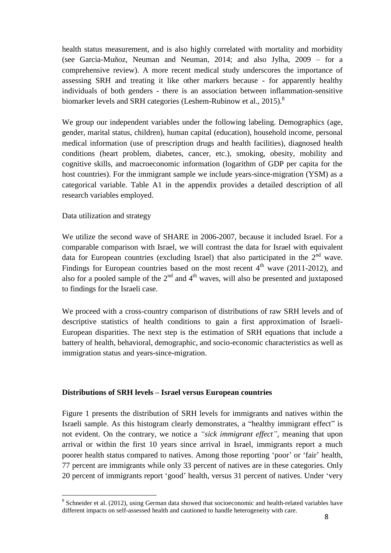health status measurement, and is also highly correlated with mortality and morbidity (see Garcia-Muñoz, Neuman and Neuman, 2014; and also Jylha, 2009 – for a comprehensive review). A more recent medical study underscores the importance of assessing SRH and treating it like other markers because - for apparently healthy individuals of both genders - there is an association between inflammation-sensitive biomarker levels and SRH categories (Leshem-Rubinow et al., 2015).<sup>8</sup>

We group our independent variables under the following labeling. Demographics (age, gender, marital status, children), human capital (education), household income, personal medical information (use of prescription drugs and health facilities), diagnosed health conditions (heart problem, diabetes, cancer, etc.), smoking, obesity, mobility and cognitive skills, and macroeconomic information (logarithm of GDP per capita for the host countries). For the immigrant sample we include years-since-migration (YSM) as a categorical variable. Table A1 in the appendix provides a detailed description of all research variables employed.

#### Data utilization and strategy

 $\overline{a}$ 

We utilize the second wave of SHARE in 2006-2007, because it included Israel. For a comparable comparison with Israel, we will contrast the data for Israel with equivalent data for European countries (excluding Israel) that also participated in the  $2<sup>nd</sup>$  wave. Findings for European countries based on the most recent  $4<sup>th</sup>$  wave (2011-2012), and also for a pooled sample of the  $2<sup>nd</sup>$  and  $4<sup>th</sup>$  waves, will also be presented and juxtaposed to findings for the Israeli case.

We proceed with a cross-country comparison of distributions of raw SRH levels and of descriptive statistics of health conditions to gain a first approximation of Israeli-European disparities. The next step is the estimation of SRH equations that include a battery of health, behavioral, demographic, and socio-economic characteristics as well as immigration status and years-since-migration.

#### **Distributions of SRH levels – Israel versus European countries**

Figure 1 presents the distribution of SRH levels for immigrants and natives within the Israeli sample. As this histogram clearly demonstrates, a "healthy immigrant effect" is not evident. On the contrary, we notice a *"sick immigrant effect"*, meaning that upon arrival or within the first 10 years since arrival in Israel, immigrants report a much poorer health status compared to natives. Among those reporting 'poor' or 'fair' health, 77 percent are immigrants while only 33 percent of natives are in these categories. Only 20 percent of immigrants report 'good' health, versus 31 percent of natives. Under 'very

<sup>&</sup>lt;sup>8</sup> Schneider et al. (2012), using German data showed that socioeconomic and health-related variables have different impacts on self-assessed health and cautioned to handle heterogeneity with care.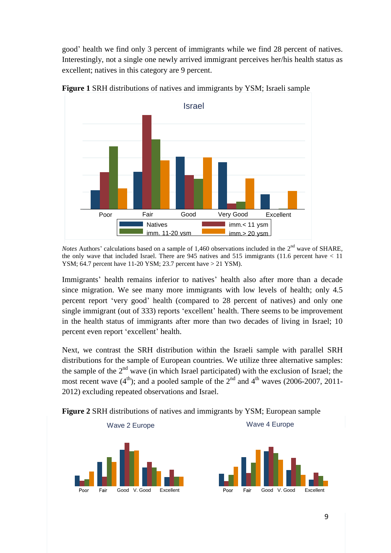good' health we find only 3 percent of immigrants while we find 28 percent of natives. Interestingly, not a single one newly arrived immigrant perceives her/his health status as excellent; natives in this category are 9 percent.



**Figure 1** SRH distributions of natives and immigrants by YSM; Israeli sample

*Notes* Authors' calculations based on a sample of 1,460 observations included in the 2<sup>nd</sup> wave of SHARE, the only wave that included Israel. There are 945 natives and 515 immigrants (11.6 percent have < 11 YSM; 64.7 percent have 11-20 YSM; 23.7 percent have > 21 YSM).

Immigrants' health remains inferior to natives' health also after more than a decade since migration. We see many more immigrants with low levels of health; only 4.5 percent report 'very good' health (compared to 28 percent of natives) and only one single immigrant (out of 333) reports 'excellent' health. There seems to be improvement in the health status of immigrants after more than two decades of living in Israel; 10 percent even report 'excellent' health.

Next, we contrast the SRH distribution within the Israeli sample with parallel SRH distributions for the sample of European countries. We utilize three alternative samples: the sample of the  $2<sup>nd</sup>$  wave (in which Israel participated) with the exclusion of Israel; the most recent wave  $(4<sup>th</sup>)$ ; and a pooled sample of the  $2<sup>nd</sup>$  and  $4<sup>th</sup>$  waves (2006-2007, 2011-2012) excluding repeated observations and Israel.



**Figure 2** SRH distributions of natives and immigrants by YSM; European sample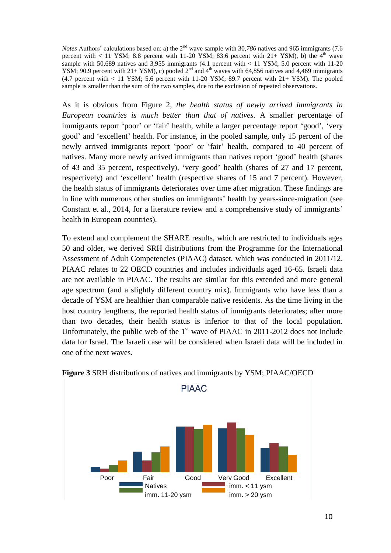*Notes* Authors' calculations based on: a) the 2<sup>nd</sup> wave sample with 30,786 natives and 965 immigrants (7.6) percent with  $< 11$  YSM; 8.8 percent with 11-20 YSM; 83.6 percent with  $21+$  YSM), b) the  $4<sup>th</sup>$  wave sample with 50,689 natives and 3,955 immigrants  $(4.1 \text{ percent with} < 11 \text{ YSM}; 5.0 \text{ percent with } 11\text{-}20$ YSM; 90.9 percent with 21+ YSM), c) pooled  $2<sup>nd</sup>$  and  $4<sup>th</sup>$  waves with 64,856 natives and 4,469 immigrants (4.7 percent with  $< 11$  YSM; 5.6 percent with 11-20 YSM; 89.7 percent with 21+ YSM). The pooled sample is smaller than the sum of the two samples, due to the exclusion of repeated observations.

As it is obvious from Figure 2, *the health status of newly arrived immigrants in European countries is much better than that of natives.* A smaller percentage of immigrants report 'poor' or 'fair' health, while a larger percentage report 'good', 'very good' and 'excellent' health. For instance, in the pooled sample, only 15 percent of the newly arrived immigrants report 'poor' or 'fair' health, compared to 40 percent of natives. Many more newly arrived immigrants than natives report 'good' health (shares of 43 and 35 percent, respectively), 'very good' health (shares of 27 and 17 percent, respectively) and 'excellent' health (respective shares of 15 and 7 percent). However, the health status of immigrants deteriorates over time after migration. These findings are in line with numerous other studies on immigrants' health by years-since-migration (see Constant et al., 2014, for a literature review and a comprehensive study of immigrants' health in European countries).

To extend and complement the SHARE results, which are restricted to individuals ages 50 and older, we derived SRH distributions from the Programme for the International Assessment of Adult Competencies (PIAAC) dataset, which was conducted in 2011/12. PIAAC relates to 22 OECD countries and includes individuals aged 16-65. Israeli data are not available in PIAAC. The results are similar for this extended and more general age spectrum (and a slightly different country mix). Immigrants who have less than a decade of YSM are healthier than comparable native residents. As the time living in the host country lengthens, the reported health status of immigrants deteriorates; after more than two decades, their health status is inferior to that of the local population. Unfortunately, the public web of the  $1<sup>st</sup>$  wave of PIAAC in 2011-2012 does not include data for Israel. The Israeli case will be considered when Israeli data will be included in one of the next waves.



#### **Figure 3** SRH distributions of natives and immigrants by YSM; PIAAC/OECD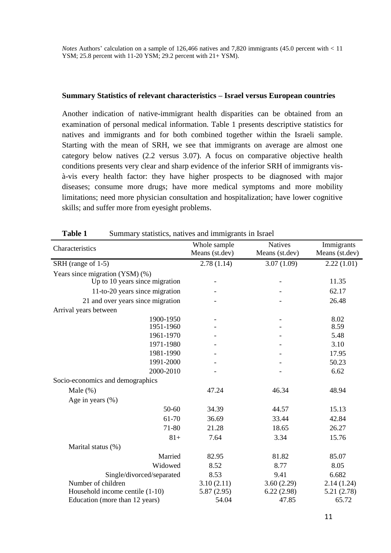*Notes* Authors' calculation on a sample of 126,466 natives and 7,820 immigrants (45.0 percent with < 11 YSM; 25.8 percent with 11-20 YSM; 29.2 percent with 21+ YSM).

#### **Summary Statistics of relevant characteristics – Israel versus European countries**

Another indication of native-immigrant health disparities can be obtained from an examination of personal medical information. Table 1 presents descriptive statistics for natives and immigrants and for both combined together within the Israeli sample. Starting with the mean of SRH, we see that immigrants on average are almost one category below natives (2.2 versus 3.07). A focus on comparative objective health conditions presents very clear and sharp evidence of the inferior SRH of immigrants visà-vis every health factor: they have higher prospects to be diagnosed with major diseases; consume more drugs; have more medical symptoms and more mobility limitations; need more physician consultation and hospitalization; have lower cognitive skills; and suffer more from eyesight problems.

| Characteristics                                                   | Whole sample<br>Means (st.dev) | <b>Natives</b><br>Means (st.dev) | Immigrants<br>Means (st.dev) |
|-------------------------------------------------------------------|--------------------------------|----------------------------------|------------------------------|
| SRH (range of 1-5)                                                | 2.78(1.14)                     | 3.07(1.09)                       | 2.22(1.01)                   |
| Years since migration (YSM) (%)<br>Up to 10 years since migration |                                |                                  | 11.35                        |
| 11-to-20 years since migration                                    |                                |                                  | 62.17                        |
| 21 and over years since migration                                 |                                |                                  | 26.48                        |
| Arrival years between                                             |                                |                                  |                              |
| 1900-1950<br>1951-1960                                            |                                | $\overline{\phantom{0}}$         | 8.02<br>8.59                 |
| 1961-1970                                                         |                                |                                  | 5.48                         |
| 1971-1980                                                         |                                |                                  | 3.10                         |
| 1981-1990                                                         |                                |                                  | 17.95                        |
| 1991-2000                                                         |                                |                                  | 50.23                        |
| 2000-2010                                                         |                                |                                  | 6.62                         |
| Socio-economics and demographics                                  |                                |                                  |                              |
| Male $(\%)$                                                       | 47.24                          | 46.34                            | 48.94                        |
| Age in years $(\% )$                                              |                                |                                  |                              |
| 50-60                                                             | 34.39                          | 44.57                            | 15.13                        |
| 61-70                                                             | 36.69                          | 33.44                            | 42.84                        |
| 71-80                                                             | 21.28                          | 18.65                            | 26.27                        |
| $81+$                                                             | 7.64                           | 3.34                             | 15.76                        |
| Marital status (%)                                                |                                |                                  |                              |
| Married                                                           | 82.95                          | 81.82                            | 85.07                        |
| Widowed                                                           | 8.52                           | 8.77                             | 8.05                         |
| Single/divorced/separated                                         | 8.53                           | 9.41                             | 6.682                        |
| Number of children                                                | 3.10(2.11)                     | 3.60(2.29)                       | 2.14(1.24)                   |
| Household income centile (1-10)                                   | 5.87(2.95)                     | 6.22(2.98)                       | 5.21(2.78)                   |
| Education (more than 12 years)                                    | 54.04                          | 47.85                            | 65.72                        |

**Table 1** Summary statistics, natives and immigrants in Israel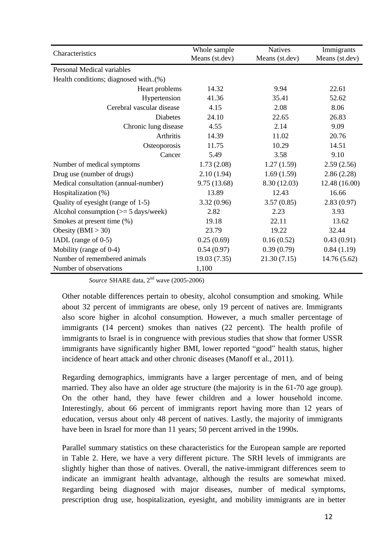| Characteristics                                | Whole sample<br>Means (st.dev) | <b>Natives</b><br>Means (st.dev) | Immigrants<br>Means (st.dev) |
|------------------------------------------------|--------------------------------|----------------------------------|------------------------------|
| Personal Medical variables                     |                                |                                  |                              |
| Health conditions; diagnosed with(%)           |                                |                                  |                              |
| Heart problems                                 | 14.32                          | 9.94                             | 22.61                        |
| Hypertension                                   | 41.36                          | 35.41                            | 52.62                        |
| Cerebral vascular disease                      | 4.15                           | 2.08                             | 8.06                         |
| <b>Diabetes</b>                                | 24.10                          | 22.65                            | 26.83                        |
| Chronic lung disease                           | 4.55                           | 2.14                             | 9.09                         |
| Arthritis                                      | 14.39                          | 11.02                            | 20.76                        |
| Osteoporosis                                   | 11.75                          | 10.29                            | 14.51                        |
| Cancer                                         | 5.49                           | 3.58                             | 9.10                         |
| Number of medical symptoms                     | 1.73(2.08)                     | 1.27(1.59)                       | 2.59(2.56)                   |
| Drug use (number of drugs)                     | 2.10(1.94)                     | 1.69(1.59)                       | 2.86(2.28)                   |
| Medical consultation (annual-number)           | 9.75 (13.68)                   | 8.30 (12.03)                     | 12.48 (16.00)                |
| Hospitalization (%)                            | 13.89                          | 12.43                            | 16.66                        |
| Quality of eyesight (range of 1-5)             | 3.32(0.96)                     | 3.57(0.85)                       | 2.83(0.97)                   |
| Alcohol consumption $(>= 5 \text{ days/week})$ | 2.82                           | 2.23                             | 3.93                         |
| Smokes at present time (%)                     | 19.18                          | 22.11                            | 13.62                        |
| Obesity ( $BMI > 30$ )                         | 23.79                          | 19.22                            | 32.44                        |
| IADL (range of 0-5)                            | 0.25(0.69)                     | 0.16(0.52)                       | 0.43(0.91)                   |
| Mobility (range of 0-4)                        | 0.54(0.97)                     | 0.39(0.79)                       | 0.84(1.19)                   |
| Number of remembered animals                   | 19.03 (7.35)                   | 21.30(7.15)                      | 14.76 (5.62)                 |
| Number of observations                         | 1,100                          |                                  |                              |

*Source* SHARE data, 2<sup>nd</sup> wave (2005-2006)

Other notable differences pertain to obesity, alcohol consumption and smoking. While about 32 percent of immigrants are obese, only 19 percent of natives are. Immigrants also score higher in alcohol consumption. However, a much smaller percentage of immigrants (14 percent) smokes than natives (22 percent). The health profile of immigrants to Israel is in congruence with previous studies that show that former USSR immigrants have significantly higher BMI, lower reported "good" health status, higher incidence of heart attack and other chronic diseases (Manoff et al., 2011).

Regarding demographics, immigrants have a larger percentage of men, and of being married. They also have an older age structure (the majority is in the 61-70 age group). On the other hand, they have fewer children and a lower household income. Interestingly, about 66 percent of immigrants report having more than 12 years of education, versus about only 48 percent of natives. Lastly, the majority of immigrants have been in Israel for more than 11 years; 50 percent arrived in the 1990s.

Parallel summary statistics on these characteristics for the European sample are reported in Table 2. Here, we have a very different picture. The SRH levels of immigrants are slightly higher than those of natives. Overall, the native-immigrant differences seem to indicate an immigrant health advantage, although the results are somewhat mixed. Regarding being diagnosed with major diseases, number of medical symptoms, prescription drug use, hospitalization, eyesight, and mobility immigrants are in better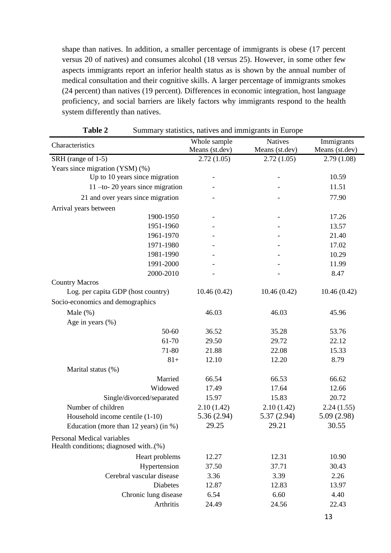shape than natives. In addition, a smaller percentage of immigrants is obese (17 percent versus 20 of natives) and consumes alcohol (18 versus 25). However, in some other few aspects immigrants report an inferior health status as is shown by the annual number of medical consultation and their cognitive skills. A larger percentage of immigrants smokes (24 percent) than natives (19 percent). Differences in economic integration, host language proficiency, and social barriers are likely factors why immigrants respond to the health system differently than natives.

|                                                                    | Whole sample   | <b>Natives</b> | Immigrants     |
|--------------------------------------------------------------------|----------------|----------------|----------------|
| Characteristics                                                    | Means (st.dev) | Means (st.dev) | Means (st.dev) |
| SRH (range of 1-5)                                                 | 2.72(1.05)     | 2.72(1.05)     | 2.79(1.08)     |
| Years since migration (YSM) (%)                                    |                |                |                |
| Up to 10 years since migration                                     |                |                | 10.59          |
| $11$ -to- 20 years since migration                                 |                |                | 11.51          |
| 21 and over years since migration                                  |                |                | 77.90          |
| Arrival years between                                              |                |                |                |
| 1900-1950                                                          |                |                | 17.26          |
| 1951-1960                                                          |                |                | 13.57          |
| 1961-1970                                                          |                |                | 21.40          |
| 1971-1980                                                          |                |                | 17.02          |
| 1981-1990                                                          |                |                | 10.29          |
| 1991-2000                                                          |                |                | 11.99          |
| 2000-2010                                                          |                |                | 8.47           |
| <b>Country Macros</b>                                              |                |                |                |
| Log. per capita GDP (host country)                                 | 10.46(0.42)    | 10.46(0.42)    | 10.46(0.42)    |
| Socio-economics and demographics                                   |                |                |                |
| Male $(\%)$                                                        | 46.03          | 46.03          | 45.96          |
| Age in years $(\% )$                                               |                |                |                |
| 50-60                                                              | 36.52          | 35.28          | 53.76          |
| 61-70                                                              | 29.50          | 29.72          | 22.12          |
| 71-80                                                              | 21.88          | 22.08          | 15.33          |
| $81+$                                                              | 12.10          | 12.20          | 8.79           |
| Marital status (%)                                                 |                |                |                |
| Married                                                            | 66.54          | 66.53          | 66.62          |
| Widowed                                                            | 17.49          | 17.64          | 12.66          |
| Single/divorced/separated                                          | 15.97          | 15.83          | 20.72          |
| Number of children                                                 | 2.10(1.42)     | 2.10(1.42)     | 2.24(1.55)     |
| Household income centile (1-10)                                    | 5.36(2.94)     | 5.37(2.94)     | 5.09(2.98)     |
| Education (more than $12$ years) (in %)                            | 29.25          | 29.21          | 30.55          |
| Personal Medical variables<br>Health conditions; diagnosed with(%) |                |                |                |
| Heart problems                                                     | 12.27          | 12.31          | 10.90          |
| Hypertension                                                       | 37.50          | 37.71          | 30.43          |
| Cerebral vascular disease                                          | 3.36           | 3.39           | 2.26           |
| Diabetes                                                           | 12.87          | 12.83          | 13.97          |
| Chronic lung disease                                               | 6.54           | 6.60           | 4.40           |
| Arthritis                                                          | 24.49          | 24.56          | 22.43          |
|                                                                    |                |                |                |

**Table 2** Summary statistics, natives and immigrants in Europe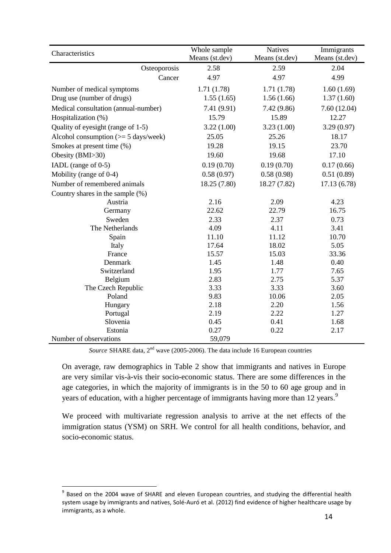| Characteristics                                | Whole sample<br>Means (st.dev) | <b>Natives</b><br>Means (st.dev) | Immigrants<br>Means (st.dev) |
|------------------------------------------------|--------------------------------|----------------------------------|------------------------------|
| Osteoporosis                                   | 2.58                           | 2.59                             | 2.04                         |
| Cancer                                         | 4.97                           | 4.97                             | 4.99                         |
| Number of medical symptoms                     | 1.71(1.78)                     | 1.71(1.78)                       | 1.60(1.69)                   |
| Drug use (number of drugs)                     | 1.55(1.65)                     | 1.56(1.66)                       | 1.37(1.60)                   |
| Medical consultation (annual-number)           | 7.41 (9.91)                    | 7.42(9.86)                       | 7.60(12.04)                  |
| Hospitalization (%)                            | 15.79                          | 15.89                            | 12.27                        |
| Quality of eyesight (range of 1-5)             | 3.22(1.00)                     | 3.23(1.00)                       | 3.29(0.97)                   |
| Alcohol consumption $(>= 5 \text{ days/week})$ | 25.05                          | 25.26                            | 18.17                        |
| Smokes at present time (%)                     | 19.28                          | 19.15                            | 23.70                        |
| Obesity (BMI>30)                               | 19.60                          | 19.68                            | 17.10                        |
| IADL (range of 0-5)                            | 0.19(0.70)                     | 0.19(0.70)                       | 0.17(0.66)                   |
| Mobility (range of 0-4)                        | 0.58(0.97)                     | 0.58(0.98)                       | 0.51(0.89)                   |
| Number of remembered animals                   | 18.25 (7.80)                   | 18.27 (7.82)                     | 17.13(6.78)                  |
| Country shares in the sample (%)               |                                |                                  |                              |
| Austria                                        | 2.16                           | 2.09                             | 4.23                         |
| Germany                                        | 22.62                          | 22.79                            | 16.75                        |
| Sweden                                         | 2.33                           | 2.37                             | 0.73                         |
| The Netherlands                                | 4.09                           | 4.11                             | 3.41                         |
| Spain                                          | 11.10                          | 11.12                            | 10.70                        |
| Italy                                          | 17.64                          | 18.02                            | 5.05                         |
| France                                         | 15.57                          | 15.03                            | 33.36                        |
| Denmark                                        | 1.45                           | 1.48                             | 0.40                         |
| Switzerland                                    | 1.95                           | 1.77                             | 7.65                         |
| Belgium                                        | 2.83                           | 2.75                             | 5.37                         |
| The Czech Republic                             | 3.33                           | 3.33                             | 3.60                         |
| Poland                                         | 9.83                           | 10.06                            | 2.05                         |
| Hungary                                        | 2.18                           | 2.20                             | 1.56                         |
| Portugal                                       | 2.19                           | 2.22                             | 1.27                         |
| Slovenia                                       | 0.45                           | 0.41                             | 1.68                         |
| Estonia                                        | 0.27                           | 0.22                             | 2.17                         |
| Number of observations                         | 59,079                         |                                  |                              |

*Source* SHARE data, 2<sup>nd</sup> wave (2005-2006). The data include 16 European countries

On average, raw demographics in Table 2 show that immigrants and natives in Europe are very similar vis-à-vis their socio-economic status. There are some differences in the age categories, in which the majority of immigrants is in the 50 to 60 age group and in years of education, with a higher percentage of immigrants having more than 12 years.<sup>9</sup>

We proceed with multivariate regression analysis to arrive at the net effects of the immigration status (YSM) on SRH. We control for all health conditions, behavior, and socio-economic status.

 $\overline{a}$ 

 $9$  Based on the 2004 wave of SHARE and eleven European countries, and studying the differential health system usage by immigrants and natives, Solé-Auró et al. (2012) find evidence of higher healthcare usage by immigrants, as a whole.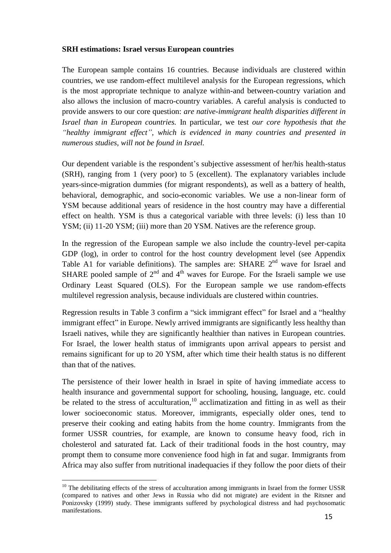#### **SRH estimations: Israel versus European countries**

The European sample contains 16 countries. Because individuals are clustered within countries, we use random-effect multilevel analysis for the European regressions, which is the most appropriate technique to analyze within-and between-country variation and also allows the inclusion of macro-country variables. A careful analysis is conducted to provide answers to our core question: *are native-immigrant health disparities different in Israel than in European countries.* In particular, we test *our core hypothesis that the "healthy immigrant effect", which is evidenced in many countries and presented in numerous studies, will not be found in Israel.*

Our dependent variable is the respondent's subjective assessment of her/his health-status (SRH), ranging from 1 (very poor) to 5 (excellent). The explanatory variables include years-since-migration dummies (for migrant respondents), as well as a battery of health, behavioral, demographic, and socio-economic variables. We use a non-linear form of YSM because additional years of residence in the host country may have a differential effect on health. YSM is thus a categorical variable with three levels: (i) less than 10 YSM; (ii) 11-20 YSM; (iii) more than 20 YSM. Natives are the reference group.

In the regression of the European sample we also include the country-level per-capita GDP (log), in order to control for the host country development level (see Appendix Table A1 for variable definitions). The samples are: SHARE  $2<sup>nd</sup>$  wave for Israel and SHARE pooled sample of  $2^{nd}$  and  $4^{th}$  waves for Europe. For the Israeli sample we use Ordinary Least Squared (OLS). For the European sample we use random-effects multilevel regression analysis, because individuals are clustered within countries.

Regression results in Table 3 confirm a "sick immigrant effect" for Israel and a "healthy immigrant effect" in Europe. Newly arrived immigrants are significantly less healthy than Israeli natives, while they are significantly healthier than natives in European countries. For Israel, the lower health status of immigrants upon arrival appears to persist and remains significant for up to 20 YSM, after which time their health status is no different than that of the natives.

The persistence of their lower health in Israel in spite of having immediate access to health insurance and governmental support for schooling, housing, language, etc. could be related to the stress of acculturation,  $10$  acclimatization and fitting in as well as their lower socioeconomic status. Moreover, immigrants, especially older ones, tend to preserve their cooking and eating habits from the home country. Immigrants from the former USSR countries, for example, are known to consume heavy food, rich in cholesterol and saturated fat. Lack of their traditional foods in the host country, may prompt them to consume more convenience food high in fat and sugar. Immigrants from Africa may also suffer from nutritional inadequacies if they follow the poor diets of their

 $\overline{a}$ 

 $10$  The debilitating effects of the stress of acculturation among immigrants in Israel from the former USSR (compared to natives and other Jews in Russia who did not migrate) are evident in the Ritsner and Ponizovsky (1999) study. These immigrants suffered by psychological distress and had psychosomatic manifestations.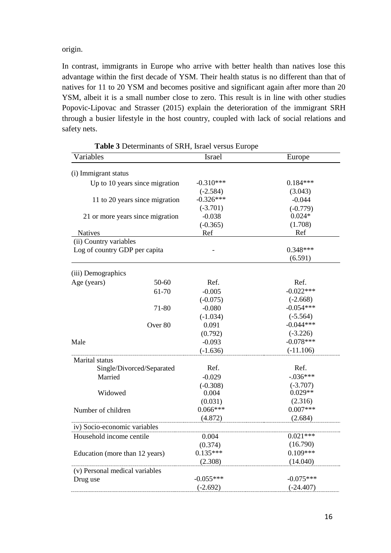origin.

In contrast, immigrants in Europe who arrive with better health than natives lose this advantage within the first decade of YSM. Their health status is no different than that of natives for 11 to 20 YSM and becomes positive and significant again after more than 20 YSM, albeit it is a small number close to zero. This result is in line with other studies Popovic-Lipovac and Strasser (2015) explain the deterioration of the immigrant SRH through a busier lifestyle in the host country, coupled with lack of social relations and safety nets.

| Variables                        | Israel      | Europe      |
|----------------------------------|-------------|-------------|
| (i) Immigrant status             |             |             |
| Up to 10 years since migration   | $-0.310***$ | $0.184***$  |
|                                  | $(-2.584)$  | (3.043)     |
| 11 to 20 years since migration   | $-0.326***$ | $-0.044$    |
|                                  | $(-3.701)$  | $(-0.779)$  |
| 21 or more years since migration | $-0.038$    | $0.024*$    |
|                                  | $(-0.365)$  | (1.708)     |
| <b>Natives</b>                   | Ref         | Ref         |
| (ii) Country variables           |             |             |
| Log of country GDP per capita    |             | $0.348***$  |
|                                  |             | (6.591)     |
| (iii) Demographics               |             |             |
| Age (years)<br>$50 - 60$         | Ref.        | Ref.        |
| 61-70                            | $-0.005$    | $-0.022***$ |
|                                  | $(-0.075)$  | $(-2.668)$  |
| 71-80                            | $-0.080$    | $-0.054***$ |
|                                  | $(-1.034)$  | $(-5.564)$  |
| Over <sub>80</sub>               | 0.091       | $-0.044***$ |
|                                  | (0.792)     | $(-3.226)$  |
| Male                             | $-0.093$    | $-0.078***$ |
|                                  | $(-1.636)$  | $(-11.106)$ |
| Marital status                   |             |             |
| Single/Divorced/Separated        | Ref.        | Ref.        |
| Married                          | $-0.029$    | $-.036***$  |
|                                  | $(-0.308)$  | $(-3.707)$  |
| Widowed                          | 0.004       | $0.029**$   |
|                                  | (0.031)     | (2.316)     |
| Number of children               | $0.066***$  | $0.007***$  |
|                                  | (4.872)     | (2.684)     |
| iv) Socio-economic variables     |             |             |
| Household income centile         | 0.004       | $0.021***$  |
|                                  | (0.374)     | (16.790)    |
| Education (more than 12 years)   | $0.135***$  | $0.109***$  |
|                                  | (2.308)     | (14.040)    |
| (v) Personal medical variables   |             |             |
| Drug use                         | $-0.055***$ | $-0.075***$ |
|                                  | $(-2.692)$  | $(-24.407)$ |

**Table 3** Determinants of SRH, Israel versus Europe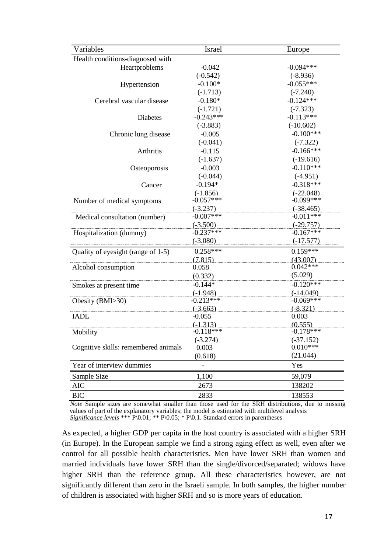| Variables                            | Israel                    | Europe                 |
|--------------------------------------|---------------------------|------------------------|
| Health conditions-diagnosed with     |                           |                        |
| Heartproblems                        | $-0.042$                  | $-0.094***$            |
|                                      | $(-0.542)$                | $(-8.936)$             |
| Hypertension                         | $-0.100*$                 | $-0.055***$            |
|                                      | $(-1.713)$                | $(-7.240)$             |
| Cerebral vascular disease            | $-0.180*$                 | $-0.124***$            |
|                                      | $(-1.721)$                | $(-7.323)$             |
| <b>Diabetes</b>                      | $-0.243***$               | $-0.113***$            |
|                                      | $(-3.883)$                | $(-10.602)$            |
| Chronic lung disease                 | $-0.005$                  | $-0.100***$            |
|                                      | $(-0.041)$                | $(-7.322)$             |
| Arthritis                            | $-0.115$                  | $-0.166***$            |
|                                      | $(-1.637)$                | $(-19.616)$            |
| Osteoporosis                         | $-0.003$                  | $-0.110***$            |
|                                      | $(-0.044)$                | $(-4.951)$             |
| Cancer                               | $-0.194*$                 | $-0.318***$            |
|                                      | $(-1.856)$                | $(-22.048)$            |
| Number of medical symptoms           | $-0.057***$               | $-0.099***$            |
|                                      | $(-3.237)$                | $(-38.465)$            |
| Medical consultation (number)        | $-0.007***$               | $-0.011***$            |
|                                      | $(-3.500)$                | $(-29.757)$            |
| Hospitalization (dummy)              | $-0.237***$               | $-0.167***$            |
|                                      | $(-3.080)$                | $(-17.577)$            |
| Quality of eyesight (range of 1-5)   | $0.258***$                | $0.159***$             |
|                                      | (7.815)                   | (43.007)               |
| Alcohol consumption                  | 0.058                     | $0.042***$             |
|                                      | (0.332)                   | (5.029)                |
| Smokes at present time               | $-0.144*$                 | $-0.120***$            |
|                                      | $(-1.948)$                | $(-14.049)$            |
| Obesity (BMI>30)                     | $-0.213***$               | $-0.069***$            |
|                                      | $(-3.663)$                | $(-8.321)$             |
| <b>IADL</b>                          | $-0.055$                  | 0.003                  |
|                                      | $(-1.313)$<br>$-0.118***$ | (0.555)<br>$-0.178***$ |
| Mobility                             | $(-3.274)$                | $(-37.152)$            |
| Cognitive skills: remembered animals | 0.003                     | $0.010***$             |
|                                      | (0.618)                   | (21.044)               |
| Year of interview dummies            |                           | Yes                    |
|                                      |                           | 59,079                 |
| Sample Size                          | 1,100                     |                        |
| AIC                                  | 2673                      | 138202                 |
| <b>BIC</b>                           | 2833                      | 138553                 |

*Note* Sample sizes are somewhat smaller than those used for the SRH distributions, due to missing values of part of the explanatory variables; the model is estimated with multilevel analysis

*Significance levels* \*\*\*  $P(0.01; *P(0.05; * P(0.1. Standard errors in parentheses)$ 

As expected, a higher GDP per capita in the host country is associated with a higher SRH (in Europe). In the European sample we find a strong aging effect as well, even after we control for all possible health characteristics. Men have lower SRH than women and married individuals have lower SRH than the single/divorced/separated; widows have higher SRH than the reference group. All these characteristics however, are not significantly different than zero in the Israeli sample. In both samples, the higher number of children is associated with higher SRH and so is more years of education.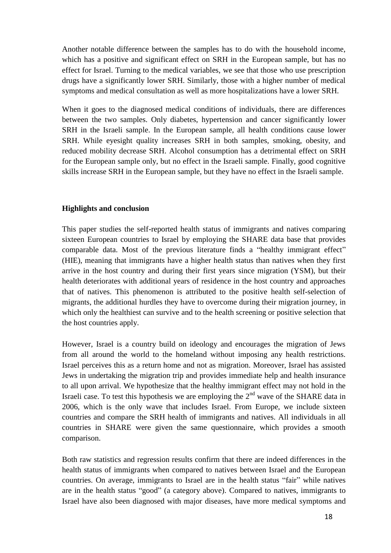Another notable difference between the samples has to do with the household income, which has a positive and significant effect on SRH in the European sample, but has no effect for Israel. Turning to the medical variables, we see that those who use prescription drugs have a significantly lower SRH. Similarly, those with a higher number of medical symptoms and medical consultation as well as more hospitalizations have a lower SRH.

When it goes to the diagnosed medical conditions of individuals, there are differences between the two samples. Only diabetes, hypertension and cancer significantly lower SRH in the Israeli sample. In the European sample, all health conditions cause lower SRH. While eyesight quality increases SRH in both samples, smoking, obesity, and reduced mobility decrease SRH. Alcohol consumption has a detrimental effect on SRH for the European sample only, but no effect in the Israeli sample. Finally, good cognitive skills increase SRH in the European sample, but they have no effect in the Israeli sample.

#### **Highlights and conclusion**

This paper studies the self-reported health status of immigrants and natives comparing sixteen European countries to Israel by employing the SHARE data base that provides comparable data. Most of the previous literature finds a "healthy immigrant effect" (HIE), meaning that immigrants have a higher health status than natives when they first arrive in the host country and during their first years since migration (YSM), but their health deteriorates with additional years of residence in the host country and approaches that of natives. This phenomenon is attributed to the positive health self-selection of migrants, the additional hurdles they have to overcome during their migration journey, in which only the healthiest can survive and to the health screening or positive selection that the host countries apply.

However, Israel is a country build on ideology and encourages the migration of Jews from all around the world to the homeland without imposing any health restrictions. Israel perceives this as a return home and not as migration. Moreover, Israel has assisted Jews in undertaking the migration trip and provides immediate help and health insurance to all upon arrival. We hypothesize that the healthy immigrant effect may not hold in the Israeli case. To test this hypothesis we are employing the  $2<sup>nd</sup>$  wave of the SHARE data in 2006, which is the only wave that includes Israel. From Europe, we include sixteen countries and compare the SRH health of immigrants and natives. All individuals in all countries in SHARE were given the same questionnaire, which provides a smooth comparison.

Both raw statistics and regression results confirm that there are indeed differences in the health status of immigrants when compared to natives between Israel and the European countries. On average, immigrants to Israel are in the health status "fair" while natives are in the health status "good" (a category above). Compared to natives, immigrants to Israel have also been diagnosed with major diseases, have more medical symptoms and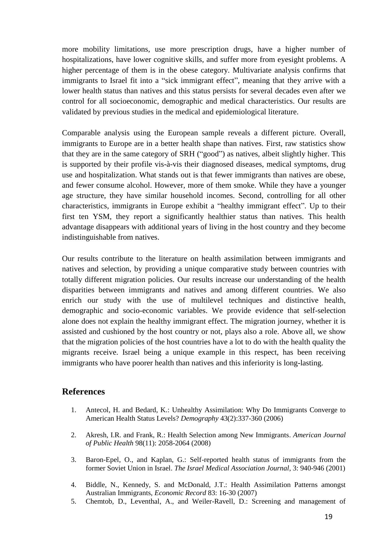more mobility limitations, use more prescription drugs, have a higher number of hospitalizations, have lower cognitive skills, and suffer more from eyesight problems. A higher percentage of them is in the obese category. Multivariate analysis confirms that immigrants to Israel fit into a "sick immigrant effect", meaning that they arrive with a lower health status than natives and this status persists for several decades even after we control for all socioeconomic, demographic and medical characteristics. Our results are validated by previous studies in the medical and epidemiological literature.

Comparable analysis using the European sample reveals a different picture. Overall, immigrants to Europe are in a better health shape than natives. First, raw statistics show that they are in the same category of SRH ("good") as natives, albeit slightly higher. This is supported by their profile vis-à-vis their diagnosed diseases, medical symptoms, drug use and hospitalization. What stands out is that fewer immigrants than natives are obese, and fewer consume alcohol. However, more of them smoke. While they have a younger age structure, they have similar household incomes. Second, controlling for all other characteristics, immigrants in Europe exhibit a "healthy immigrant effect". Up to their first ten YSM, they report a significantly healthier status than natives. This health advantage disappears with additional years of living in the host country and they become indistinguishable from natives.

Our results contribute to the literature on health assimilation between immigrants and natives and selection, by providing a unique comparative study between countries with totally different migration policies. Our results increase our understanding of the health disparities between immigrants and natives and among different countries. We also enrich our study with the use of multilevel techniques and distinctive health, demographic and socio-economic variables. We provide evidence that self-selection alone does not explain the healthy immigrant effect. The migration journey, whether it is assisted and cushioned by the host country or not, plays also a role. Above all, we show that the migration policies of the host countries have a lot to do with the health quality the migrants receive. Israel being a unique example in this respect, has been receiving immigrants who have poorer health than natives and this inferiority is long-lasting.

### **References**

- 1. Antecol, H. and Bedard, K.: Unhealthy Assimilation: Why Do Immigrants Converge to American Health Status Levels? *Demography* 43(2):337-360 (2006)
- 2. Akresh, I.R. and Frank, R.: Health Selection among New Immigrants. *American Journal of Public Health* 98(11): 2058-2064 (2008)
- 3. Baron-Epel, O., and Kaplan, G.: Self-reported health status of immigrants from the former Soviet Union in Israel. *The Israel Medical Association Journal*, 3: 940-946 (2001)
- 4. Biddle, N., Kennedy, S. and McDonald, J.T.: Health Assimilation Patterns amongst Australian Immigrants, *Economic Record* 83: 16-30 (2007)
- 5. Chemtob, D., Leventhal, A., and Weiler-Ravell, D.: Screening and management of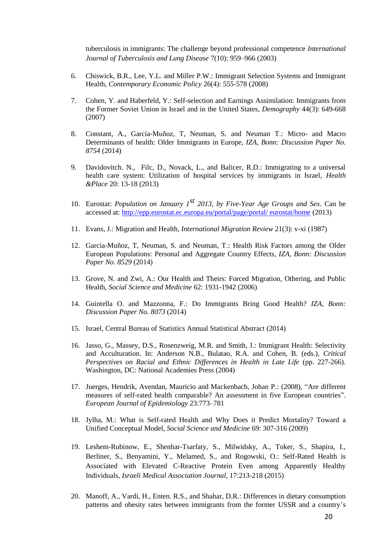tuberculosis in immigrants: The challenge beyond professional competence *International Journal of Tuberculosis and Lung Disease* 7(10): 959–966 (2003)

- 6. Chiswick, B.R., Lee, Y.L. and Miller P.W.: Immigrant Selection Systems and Immigrant Health, *Contemporary Economic Policy* 26(4): 555-578 (2008)
- 7. Cohen, Y. and Haberfeld, Y.: Self-selection and Earnings Assimilation: Immigrants from the Former Soviet Union in Israel and in the United States, *Demography* 44(3): 649-668 (2007)
- 8. Constant, A., Garcia-Muñoz, T, Neuman, S. and Neuman T.: Micro- and Macro Determinants of health: Older Immigrants in Europe, *IZA, Bonn: Discussion Paper No. 8754* (2014)
- 9. Davidovitch. N., Filc, D., Novack, L., and Balicer, R.D.: Immigrating to a universal health care system: Utilization of hospital services by immigrants in Israel, *Health &Place* 20: 13-18 (2013)
- 10. Eurostat: *Population on January 1st 2013, by Five-Year Age Groups and Sex*. Can be accessed at: [http://epp.eurostat.ec.europa.eu/portal/page/portal/ eurostat/home](http://epp.eurostat.ec.europa.eu/portal/page/portal/%20eurostat/home.) (2013)
- 11. Evans, J.: Migration and Health, *International Migration Review* 21(3): v-xi (1987)
- 12. Garcia-Muñoz, T, Neuman, S. and Neuman, T.: Health Risk Factors among the Older European Populations: Personal and Aggregate Country Effects, *IZA, Bonn: Discussion Paper No. 8529* (2014)
- 13. Grove, N. and Zwi, A.: Our Health and Theirs: Forced Migration, Othering, and Public Health, *Social Science and Medicine* 62: 1931-1942 (2006)
- 14. Guintella O. and Mazzonna, F.: Do Immigrants Bring Good Health? *IZA, Bonn: Discussion Paper No. 8073* (2014)
- 15. Israel, Central Bureau of Statistics Annual Statistical Abstract (2014)
- 16. Jasso, G., Massey, D.S., Rosenzweig, M.R. and Smith, J.: Immigrant Health: Selectivity and Acculturation. In: Anderson N.B., Bulatao, R.A. and Cohen, B. (eds.), *Critical Perspectives on Racial and Ethnic Differences in Health in Late Life (pp. 227-266).* Washington, DC: National Academies Press (2004)
- 17. Juerges, Hendrik, Avendan, Mauricio and Mackenbach, Johan P.: (2008), "Are different measures of self-rated health comparable? An assessment in five European countries". *European Journal of Epidemiology* 23:773–781
- 18. Jylha, M.: What is Self-rated Health and Why Does it Predict Mortality? Toward a Unified Conceptual Model, *Social Science and Medicine* 69: 307-316 (2009)
- 19. Leshem-Rubinow, E., Shenhar-Tsarfaty, S., Milwidsky, A., Toker, S., Shapira, I., Berliner, S., Benyamini, Y., Melamed, S., and Rogowski, O.: Self-Rated Health is Associated with Elevated C-Reactive Protein Even among Apparently Healthy Individuals, *Israeli Medical Association Journal*, 17:213-218 (2015)
- 20. Manoff, A., Vardi, H., Enten. R.S., and Shahar, D.R.: Differences in dietary consumption patterns and obesity rates between immigrants from the former USSR and a country's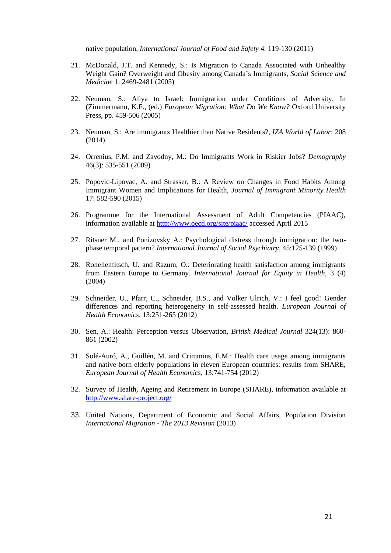native population, *International Journal of Food and Safety* 4: 119-130 (2011)

- 21. McDonald, J.T. and Kennedy, S.: Is Migration to Canada Associated with Unhealthy Weight Gain? Overweight and Obesity among Canada's Immigrants, *Social Science and Medicine* 1: 2469-2481 (2005)
- 22. Neuman, S.: Aliya to Israel: Immigration under Conditions of Adversity. In (Zimmermann, K.F., (ed.) *European Migration: What Do We Know?* Oxford University Press, pp. 459-506 (2005)
- 23. Neuman, S.: Are immigrants Healthier than Native Residents?, *IZA World of Labor*: 208 (2014)
- 24. Orrenius, P.M. and Zavodny, M.: Do Immigrants Work in Riskier Jobs? *Demography*  46(3): 535-551 (2009)
- 25. Popovic-Lipovac, A. and Strasser, B.: A Review on Changes in Food Habits Among Immigrant Women and Implications for Health, *Journal of Immigrant Minority Health* 17: 582-590 (2015)
- 26. Programme for the International Assessment of Adult Competencies (PIAAC), information available at<http://www.oecd.org/site/piaac/> accessed April 2015
- 27. Ritsner M., and Ponizovsky A.: Psychological distress through immigration: the twophase temporal pattern? *International Journal of Social Psychiatry*, 45:125-139 (1999)
- 28. Ronellenfitsch, U. and Razum, O.: Deteriorating health satisfaction among immigrants from Eastern Europe to Germany. *International Journal for Equity in Health*, 3 (4) (2004)
- 29. Schneider, U., Pfarr, C., Schneider, B.S., and Volker Ulrich, V.: I feel good! Gender differences and reporting heterogeneity in self-assessed health. *European Journal of Health Economics*, 13:251-265 (2012)
- 30. Sen, A.: Health: Perception versus Observation, *British Medical Journal* 324(13): 860- 861 (2002)
- 31. Solé-Auró, A., Guillén, M. and Crimmins, E.M.: Health care usage among immigrants and native-born elderly populations in eleven European countries: results from SHARE, *European Journal of Health Economics*, 13:741-754 (2012)
- 32. Survey of Health, Ageing and Retirement in Europe (SHARE), information available at <http://www.share-project.org/>
- 33. United Nations, Department of Economic and Social Affairs, Population Division *International Migration - The 2013 Revision* (2013)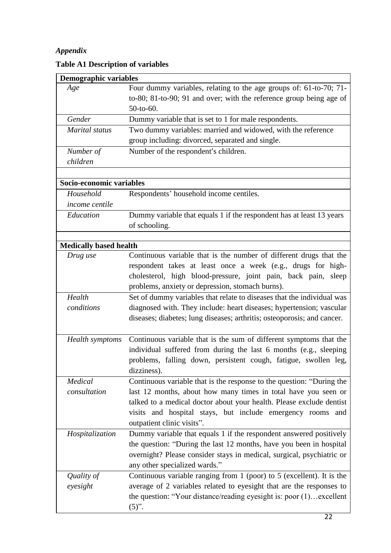# *Appendix*

| <b>Demographic variables</b>  |                                                                                                                                                                                                                                                                                                             |
|-------------------------------|-------------------------------------------------------------------------------------------------------------------------------------------------------------------------------------------------------------------------------------------------------------------------------------------------------------|
| Age                           | Four dummy variables, relating to the age groups of: 61-to-70; 71-<br>to-80; 81-to-90; 91 and over; with the reference group being age of<br>50-to-60.                                                                                                                                                      |
| Gender                        | Dummy variable that is set to 1 for male respondents.                                                                                                                                                                                                                                                       |
| Marital status                | Two dummy variables: married and widowed, with the reference<br>group including: divorced, separated and single.                                                                                                                                                                                            |
| Number of<br>children         | Number of the respondent's children.                                                                                                                                                                                                                                                                        |
| Socio-economic variables      |                                                                                                                                                                                                                                                                                                             |
| Household<br>income centile   | Respondents' household income centiles.                                                                                                                                                                                                                                                                     |
| Education                     | Dummy variable that equals 1 if the respondent has at least 13 years<br>of schooling.                                                                                                                                                                                                                       |
| <b>Medically based health</b> |                                                                                                                                                                                                                                                                                                             |
| Drug use                      | Continuous variable that is the number of different drugs that the<br>respondent takes at least once a week (e.g., drugs for high-<br>cholesterol, high blood-pressure, joint pain, back pain, sleep<br>problems, anxiety or depression, stomach burns).                                                    |
| Health<br>conditions          | Set of dummy variables that relate to diseases that the individual was<br>diagnosed with. They include: heart diseases; hypertension; vascular<br>diseases; diabetes; lung diseases; arthritis; osteoporosis; and cancer.                                                                                   |
| <b>Health</b> symptoms        | Continuous variable that is the sum of different symptoms that the<br>individual suffered from during the last 6 months (e.g., sleeping<br>problems, falling down, persistent cough, fatigue, swollen leg,<br>dizziness).                                                                                   |
| Medical<br>consultation       | Continuous variable that is the response to the question: "During the<br>last 12 months, about how many times in total have you seen or<br>talked to a medical doctor about your health. Please exclude dentist<br>visits and hospital stays, but include emergency rooms and<br>outpatient clinic visits". |
| Hospitalization               | Dummy variable that equals 1 if the respondent answered positively<br>the question: "During the last 12 months, have you been in hospital<br>overnight? Please consider stays in medical, surgical, psychiatric or<br>any other specialized wards."                                                         |
| Quality of<br>eyesight        | Continuous variable ranging from $1$ (poor) to $5$ (excellent). It is the<br>average of 2 variables related to eyesight that are the responses to<br>the question: "Your distance/reading eyesight is: poor (1) excellent<br>$(5)$ ".                                                                       |

# **Table A1 Description of variables**